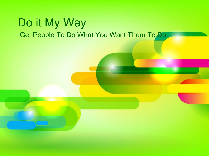#### Do it My Way Get People To Do What You Want Them To Do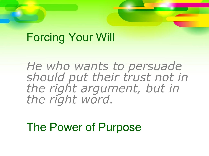### Forcing Your Will

*He who wants to persuade should put their trust not in the right argument, but in the right word.*

The Power of Purpose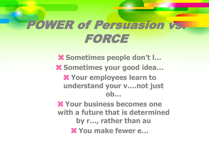## POWER of Persuasion vs. FORCE

 **Sometimes people don't l… Sometimes your good idea… Your employees learn to understand your v….not just ob… Your business becomes one with a future that is determined by r…, rather than au You make fewer e…**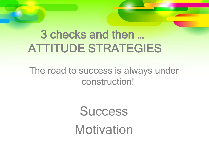# 3 checks and then … ATTITUDE STRATEGIES

#### The road to success is always under construction!

**Success** Motivation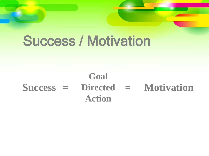# Success / Motivation

#### **Success Directed = = MotivationGoal Action**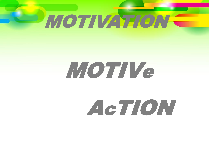

# MOTIV<sup>e</sup>

AcTION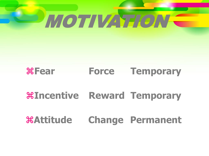

#### **Fear Force Temporary**

#### **Incentive Reward Temporary**

#### **Attitude Change Permanent**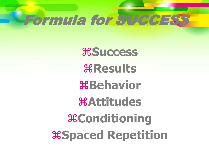# Formula for SUCCESS

**Success Results Behavior Attitudes Conditioning Spaced Repetition**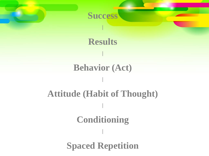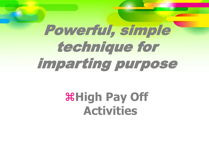# Powerful, simple technique for imparting purpose

# **High Pay Off Activities**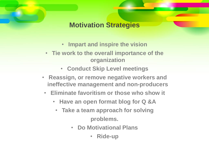#### **Motivation Strategies**

- **Impart and inspire the vision**
- **Tie work to the overall importance of the organization**
	- **Conduct Skip Level meetings**
- **Reassign, or remove negative workers and ineffective management and non-producers**
	- **Eliminate favoritism or those who show it**
		- **Have an open format blog for Q &A**
			- **Take a team approach for solving problems.**
				- **Do Motivational Plans**
					- **Ride-up**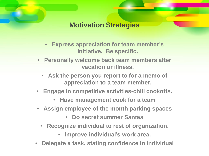**Motivation Strategies**

- **Express appreciation for team member's initiative. Be specific.**
- **Personally welcome back team members after vacation or illness.**
	- **Ask the person you report to for a memo of appreciation to a team member.**
- **Engage in competitive activities-chili cookoffs.** 
	- **Have management cook for a team**
- **Assign employee of the month parking spaces**
	- **Do secret summer Santas**
	- **Recognize individual to rest of organization.**
		- **Improve individual's work area.**
- **Delegate a task, stating confidence in individual**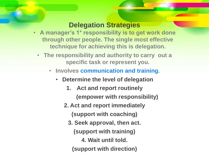#### **Delegation Strategies**

- **A manager's 1\* responsibility is to get work done through other people. The single most effective technique for achieving this is delegation.**
	- **The responsibility and authority to carry out a specific task or represent you.** 
		- **Involves communication and training.**
			- **Determine the level of delegation**
				- **1. Act and report routinely (empower with responsibility)**
				- **2. Act and report immediately**
					- **(support with coaching)**
					- **3. Seek approval, then act.**
						- **(support with training)**
							- **4. Wait until told.**
						- **(support with direction)**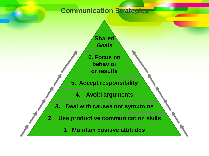